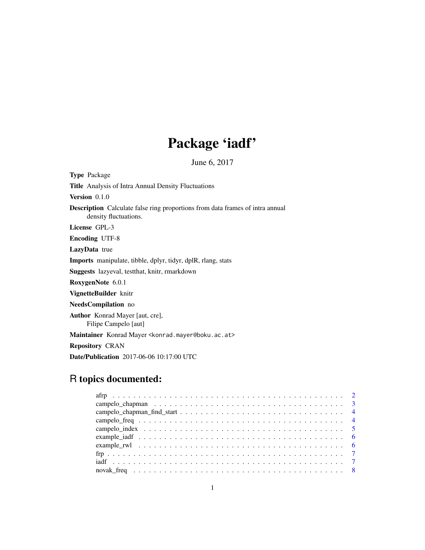# Package 'iadf'

June 6, 2017

<span id="page-0-0"></span>

| <b>Type Package</b>                                                                                           |
|---------------------------------------------------------------------------------------------------------------|
| <b>Title</b> Analysis of Intra Annual Density Fluctuations                                                    |
| Version $0.1.0$                                                                                               |
| <b>Description</b> Calculate false ring proportions from data frames of intra annual<br>density fluctuations. |
| License GPL-3                                                                                                 |
| <b>Encoding UTF-8</b>                                                                                         |
| <b>LazyData</b> true                                                                                          |
| <b>Imports</b> manipulate, tibble, dplyr, tidyr, dplR, rlang, stats                                           |
| <b>Suggests</b> lazyeval, test that, knitr, rmarkdown                                                         |
| RoxygenNote 6.0.1                                                                                             |
| VignetteBuilder knitr                                                                                         |
| <b>NeedsCompilation</b> no                                                                                    |
| <b>Author</b> Konrad Mayer [aut, cre],<br>Filipe Campelo [aut]                                                |
| Maintainer Konrad Mayer < konrad.mayer@boku.ac.at>                                                            |
| <b>Repository CRAN</b>                                                                                        |
| <b>Date/Publication</b> 2017-06-06 10:17:00 UTC                                                               |

## R topics documented:

| $\mathbf{f}\mathbf{r}_{1}, \ldots, \mathbf{r}_{n}, \ldots, \mathbf{r}_{n}, \ldots, \mathbf{r}_{n}, \ldots, \mathbf{r}_{n}, \ldots, \mathbf{r}_{n}, \ldots, \mathbf{r}_{n}, \ldots, \mathbf{r}_{n}, \ldots, \mathbf{r}_{n}, \ldots, \mathbf{r}_{n}, \ldots, \mathbf{r}_{n}, \ldots, \mathbf{r}_{n}, \ldots, \mathbf{r}_{n}, \ldots, \mathbf{r}_{n}, \ldots, \mathbf{r}_{n}, \ldots, \mathbf{r}_{n}, \ldots, \mathbf{r}_{n}, \ldots, \mathbf{r}_{n}, \ldots$ |  |
|------------------------------------------------------------------------------------------------------------------------------------------------------------------------------------------------------------------------------------------------------------------------------------------------------------------------------------------------------------------------------------------------------------------------------------------------------------|--|
|                                                                                                                                                                                                                                                                                                                                                                                                                                                            |  |
|                                                                                                                                                                                                                                                                                                                                                                                                                                                            |  |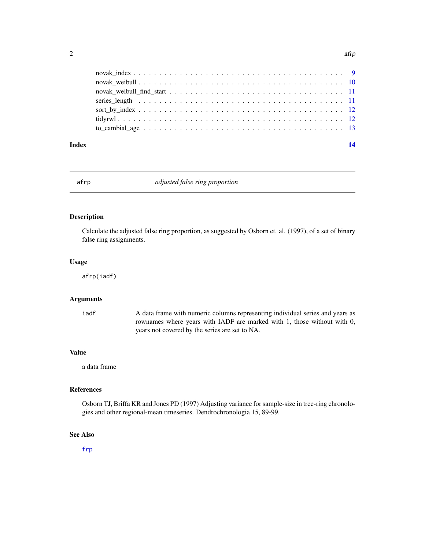<span id="page-1-0"></span>

| $\text{novak\_index} \dots \dots \dots \dots \dots \dots \dots \dots \dots \dots \dots \dots \dots \dots \dots \dots$ |  |
|-----------------------------------------------------------------------------------------------------------------------|--|
|                                                                                                                       |  |
|                                                                                                                       |  |
|                                                                                                                       |  |
|                                                                                                                       |  |
|                                                                                                                       |  |
|                                                                                                                       |  |
|                                                                                                                       |  |

#### **Index** 2008 **[14](#page-13-0)**

<span id="page-1-1"></span>

#### afrp *adjusted false ring proportion*

## Description

Calculate the adjusted false ring proportion, as suggested by Osborn et. al. (1997), of a set of binary false ring assignments.

#### Usage

afrp(iadf)

## Arguments

iadf A data frame with numeric columns representing individual series and years as rownames where years with IADF are marked with 1, those without with 0, years not covered by the series are set to NA.

## Value

a data frame

## References

Osborn TJ, Briffa KR and Jones PD (1997) Adjusting variance for sample-size in tree-ring chronologies and other regional-mean timeseries. Dendrochronologia 15, 89-99.

## See Also

[frp](#page-6-1)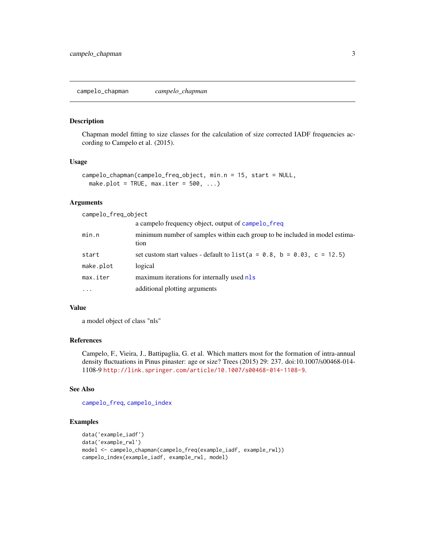<span id="page-2-1"></span><span id="page-2-0"></span>campelo\_chapman *campelo\_chapman*

#### Description

Chapman model fitting to size classes for the calculation of size corrected IADF frequencies according to Campelo et al. (2015).

#### Usage

```
campelo_chapman(campelo_freq_object, min.n = 15, start = NULL,
 make.plot = TRUE, max.iter = 500, ...)
```
## Arguments

| campelo_freq_object |                                                                                     |
|---------------------|-------------------------------------------------------------------------------------|
|                     | a campelo frequency object, output of campelo_freq                                  |
| min.n               | minimum number of samples within each group to be included in model estima-<br>tion |
| start               | set custom start values - default to $list(a = 0.8, b = 0.03, c = 12.5)$            |
| make.plot           | logical                                                                             |
| max.iter            | maximum iterations for internally used nls                                          |
| $\cdots$            | additional plotting arguments                                                       |

#### Value

a model object of class "nls"

## References

Campelo, F., Vieira, J., Battipaglia, G. et al. Which matters most for the formation of intra-annual density fluctuations in Pinus pinaster: age or size? Trees (2015) 29: 237. doi:10.1007/s00468-014- 1108-9 <http://link.springer.com/article/10.1007/s00468-014-1108-9>.

## See Also

[campelo\\_freq](#page-3-1), [campelo\\_index](#page-4-1)

```
data('example_iadf')
data('example_rwl')
model <- campelo_chapman(campelo_freq(example_iadf, example_rwl))
campelo_index(example_iadf, example_rwl, model)
```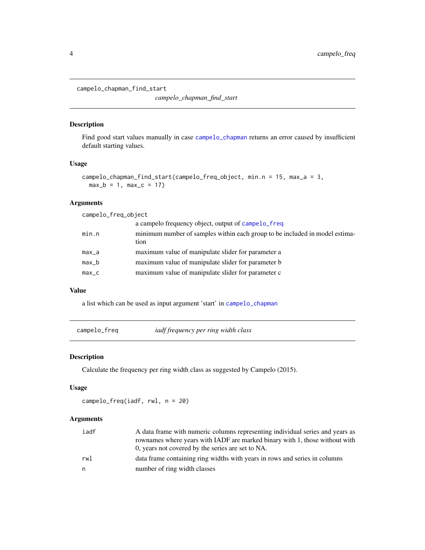<span id="page-3-0"></span>campelo\_chapman\_find\_start

*campelo\_chapman\_find\_start*

## Description

Find good start values manually in case [campelo\\_chapman](#page-2-1) returns an error caused by insufficient default starting values.

## Usage

```
campelo_chapman_find_start(campelo_freq_object, min.n = 15, max_a = 3,
 max_b = 1, max_c = 17
```
## Arguments

| campelo_freq_object |                                                                                     |  |
|---------------------|-------------------------------------------------------------------------------------|--|
|                     | a campelo frequency object, output of campelo_freq                                  |  |
| min.n               | minimum number of samples within each group to be included in model estima-<br>tion |  |
| max_a               | maximum value of manipulate slider for parameter a                                  |  |
| $max_b$             | maximum value of manipulate slider for parameter b                                  |  |
| $max_{c}$           | maximum value of manipulate slider for parameter c                                  |  |

## Value

a list which can be used as input argument 'start' in [campelo\\_chapman](#page-2-1)

<span id="page-3-1"></span>campelo\_freq *iadf frequency per ring width class*

#### Description

Calculate the frequency per ring width class as suggested by Campelo (2015).

## Usage

campelo\_freq(iadf, rwl, n = 20)

## Arguments

| iadf | A data frame with numeric columns representing individual series and years as |
|------|-------------------------------------------------------------------------------|
|      | rownames where years with IADF are marked binary with 1, those without with   |
|      | 0, years not covered by the series are set to NA.                             |
| rwl  | data frame containing ring widths with years in rows and series in columns    |
| n.   | number of ring width classes                                                  |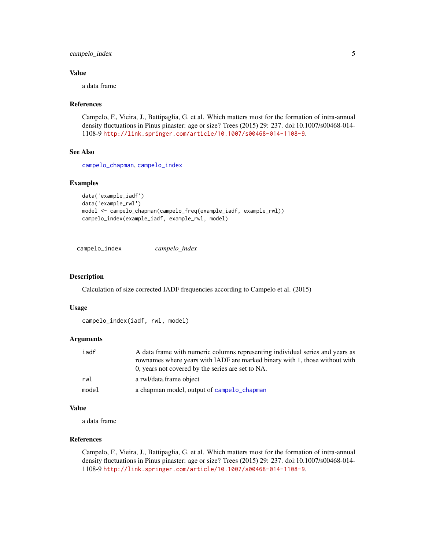## <span id="page-4-0"></span>campelo\_index 5

### Value

a data frame

#### References

Campelo, F., Vieira, J., Battipaglia, G. et al. Which matters most for the formation of intra-annual density fluctuations in Pinus pinaster: age or size? Trees (2015) 29: 237. doi:10.1007/s00468-014- 1108-9 <http://link.springer.com/article/10.1007/s00468-014-1108-9>.

#### See Also

[campelo\\_chapman](#page-2-1), [campelo\\_index](#page-4-1)

## Examples

```
data('example_iadf')
data('example_rwl')
model <- campelo_chapman(campelo_freq(example_iadf, example_rwl))
campelo_index(example_iadf, example_rwl, model)
```
<span id="page-4-1"></span>campelo\_index *campelo\_index*

#### Description

Calculation of size corrected IADF frequencies according to Campelo et al. (2015)

#### Usage

```
campelo_index(iadf, rwl, model)
```
#### Arguments

| iadf  | A data frame with numeric columns representing individual series and years as |
|-------|-------------------------------------------------------------------------------|
|       | rownames where years with IADF are marked binary with 1, those without with   |
|       | 0, years not covered by the series are set to NA.                             |
| rwl   | a rwl/data.frame object                                                       |
| model | a chapman model, output of campelo chapman                                    |

#### Value

a data frame

## References

Campelo, F., Vieira, J., Battipaglia, G. et al. Which matters most for the formation of intra-annual density fluctuations in Pinus pinaster: age or size? Trees (2015) 29: 237. doi:10.1007/s00468-014- 1108-9 <http://link.springer.com/article/10.1007/s00468-014-1108-9>.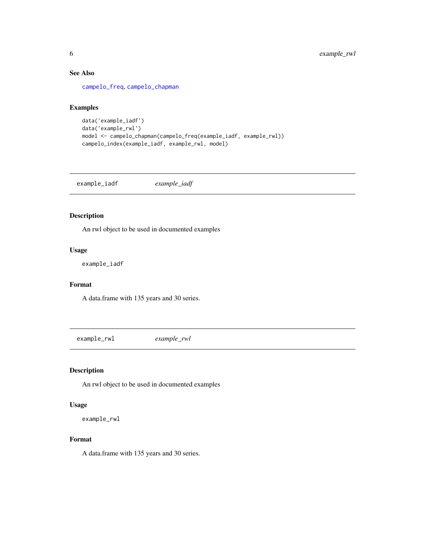## See Also

[campelo\\_freq](#page-3-1), [campelo\\_chapman](#page-2-1)

## Examples

```
data('example_iadf')
data('example_rwl')
model <- campelo_chapman(campelo_freq(example_iadf, example_rwl))
campelo_index(example_iadf, example_rwl, model)
```
example\_iadf *example\_iadf*

## Description

An rwl object to be used in documented examples

## Usage

example\_iadf

## Format

A data.frame with 135 years and 30 series.

example\_rwl *example\_rwl*

## Description

An rwl object to be used in documented examples

#### Usage

example\_rwl

## Format

A data.frame with 135 years and 30 series.

<span id="page-5-0"></span>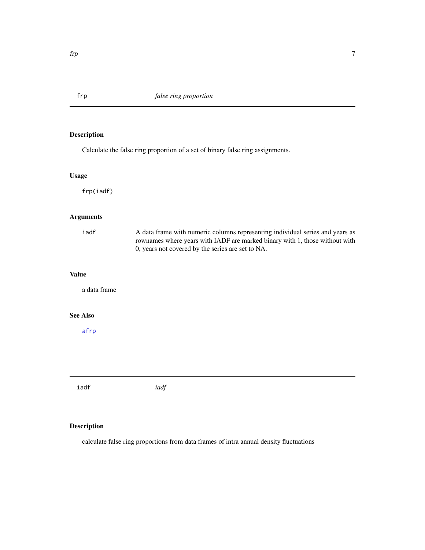## <span id="page-6-1"></span><span id="page-6-0"></span>Description

Calculate the false ring proportion of a set of binary false ring assignments.

## Usage

frp(iadf)

## Arguments

| iadf            | A data frame with numeric columns representing individual series and years as<br>rownames where years with IADF are marked binary with 1, those without with<br>0, years not covered by the series are set to NA. |
|-----------------|-------------------------------------------------------------------------------------------------------------------------------------------------------------------------------------------------------------------|
| <b>Value</b>    |                                                                                                                                                                                                                   |
| a data frame    |                                                                                                                                                                                                                   |
| <b>See Also</b> |                                                                                                                                                                                                                   |
| afrp            |                                                                                                                                                                                                                   |
|                 |                                                                                                                                                                                                                   |
|                 |                                                                                                                                                                                                                   |
| iadf            | iadf                                                                                                                                                                                                              |

## Description

calculate false ring proportions from data frames of intra annual density fluctuations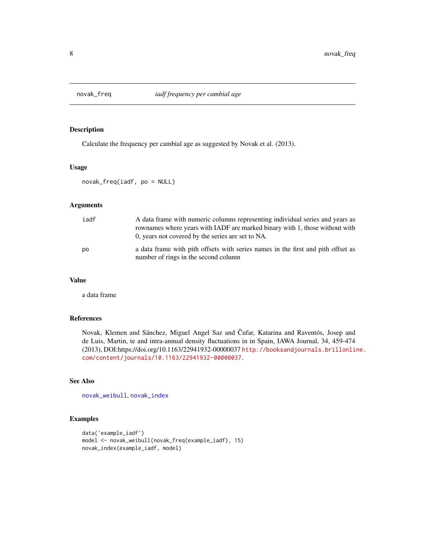<span id="page-7-1"></span><span id="page-7-0"></span>

## Description

Calculate the frequency per cambial age as suggested by Novak et al. (2013).

#### Usage

novak\_freq(iadf, po = NULL)

#### Arguments

| iadf | A data frame with numeric columns representing individual series and years as<br>rownames where years with IADF are marked binary with 1, those without with<br>0, years not covered by the series are set to NA. |
|------|-------------------------------------------------------------------------------------------------------------------------------------------------------------------------------------------------------------------|
| po   | a data frame with pith offsets with series names in the first and pith offset as<br>number of rings in the second column                                                                                          |

#### Value

a data frame

#### References

Novak, Klemen and Sánchez, Miguel Angel Saz and Čufar, Katarina and Raventós, Josep and de Luis, Martin, te and intra-annual density fluctuations in in Spain, IAWA Journal, 34, 459-474 (2013), DOI:https://doi.org/10.1163/22941932-00000037 [http://booksandjournals.brillonli](http://booksandjournals.brillonline.com/content/journals/10.1163/22941932-00000037)ne. [com/content/journals/10.1163/22941932-00000037](http://booksandjournals.brillonline.com/content/journals/10.1163/22941932-00000037).

#### See Also

[novak\\_weibull](#page-9-1), [novak\\_index](#page-8-1)

```
data('example_iadf')
model <- novak_weibull(novak_freq(example_iadf), 15)
novak_index(example_iadf, model)
```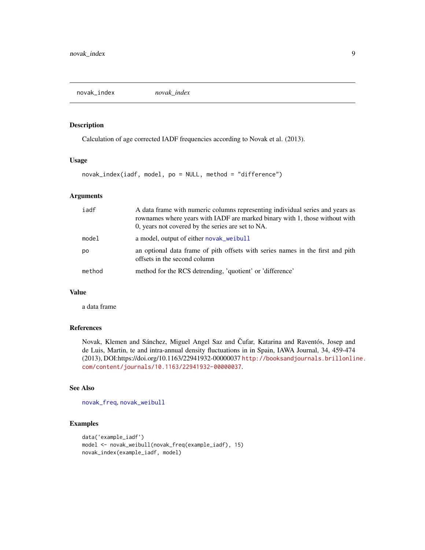<span id="page-8-1"></span><span id="page-8-0"></span>novak\_index *novak\_index*

## Description

Calculation of age corrected IADF frequencies according to Novak et al. (2013).

## Usage

novak\_index(iadf, model, po = NULL, method = "difference")

## Arguments

| iadf   | A data frame with numeric columns representing individual series and years as<br>rownames where years with IADF are marked binary with 1, those without with<br>0, years not covered by the series are set to NA. |
|--------|-------------------------------------------------------------------------------------------------------------------------------------------------------------------------------------------------------------------|
| model  | a model, output of either novak_weibull                                                                                                                                                                           |
| po     | an optional data frame of pith offsets with series names in the first and pith<br>offsets in the second column                                                                                                    |
| method | method for the RCS detrending, 'quotient' or 'difference'                                                                                                                                                         |

## Value

a data frame

## References

Novak, Klemen and Sánchez, Miguel Angel Saz and Čufar, Katarina and Raventós, Josep and de Luis, Martin, te and intra-annual density fluctuations in in Spain, IAWA Journal, 34, 459-474 (2013), DOI:https://doi.org/10.1163/22941932-00000037 [http://booksandjournals.brillonli](http://booksandjournals.brillonline.com/content/journals/10.1163/22941932-00000037)ne. [com/content/journals/10.1163/22941932-00000037](http://booksandjournals.brillonline.com/content/journals/10.1163/22941932-00000037).

#### See Also

[novak\\_freq](#page-7-1), [novak\\_weibull](#page-9-1)

```
data('example_iadf')
model <- novak_weibull(novak_freq(example_iadf), 15)
novak_index(example_iadf, model)
```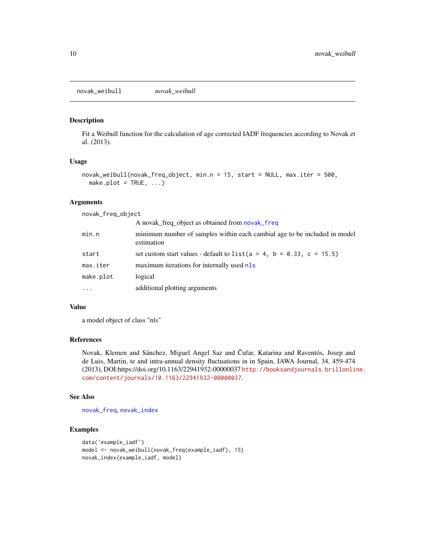<span id="page-9-1"></span><span id="page-9-0"></span>novak\_weibull *novak\_weibull*

#### Description

Fit a Weibull function for the calculation of age corrected IADF frequencies according to Novak et al. (2013).

#### Usage

```
novak_weibull(novak_freq_object, min.n = 15, start = NULL, max.iter = 500,
 make.plot = TRUE, ...)
```
## Arguments

novak\_freq\_object

|           | A novak_freq_object as obtained from novak_freq                                         |
|-----------|-----------------------------------------------------------------------------------------|
| min.n     | minimum number of samples within each cambial age to be included in model<br>estimation |
| start     | set custom start values - default to $list(a = 4, b = 0.33, c = 15.5)$                  |
| max.iter  | maximum iterations for internally used nls                                              |
| make.plot | logical                                                                                 |
| $\cdots$  | additional plotting arguments                                                           |

## Value

a model object of class "nls"

## References

Novak, Klemen and Sánchez, Miguel Angel Saz and Čufar, Katarina and Raventós, Josep and de Luis, Martin, te and intra-annual density fluctuations in in Spain, IAWA Journal, 34, 459-474 (2013), DOI:https://doi.org/10.1163/22941932-00000037 [http://booksandjournals.brillonli](http://booksandjournals.brillonline.com/content/journals/10.1163/22941932-00000037)ne. [com/content/journals/10.1163/22941932-00000037](http://booksandjournals.brillonline.com/content/journals/10.1163/22941932-00000037).

#### See Also

[novak\\_freq](#page-7-1), [novak\\_index](#page-8-1)

```
data('example_iadf')
model <- novak_weibull(novak_freq(example_iadf), 15)
novak_index(example_iadf, model)
```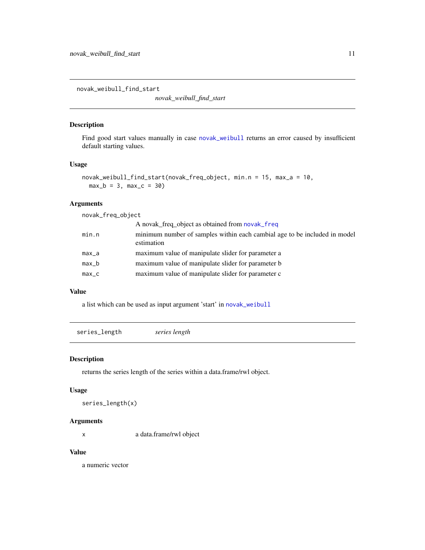<span id="page-10-0"></span>novak\_weibull\_find\_start

*novak\_weibull\_find\_start*

## Description

Find good start values manually in case [novak\\_weibull](#page-9-1) returns an error caused by insufficient default starting values.

## Usage

```
novak_weibull_find_start(novak_freq_object, min.n = 15, max_a = 10,
 max_b = 3, max_c = 30
```
## Arguments

novak\_freq\_object

|       | A novak_freq_object as obtained from novak_freq                                         |
|-------|-----------------------------------------------------------------------------------------|
| min.n | minimum number of samples within each cambial age to be included in model<br>estimation |
| max_a | maximum value of manipulate slider for parameter a                                      |
| max_b | maximum value of manipulate slider for parameter b                                      |
| max_c | maximum value of manipulate slider for parameter c                                      |
|       |                                                                                         |

## Value

a list which can be used as input argument 'start' in [novak\\_weibull](#page-9-1)

series\_length *series length*

## Description

returns the series length of the series within a data.frame/rwl object.

#### Usage

```
series_length(x)
```
#### Arguments

x a data.frame/rwl object

#### Value

a numeric vector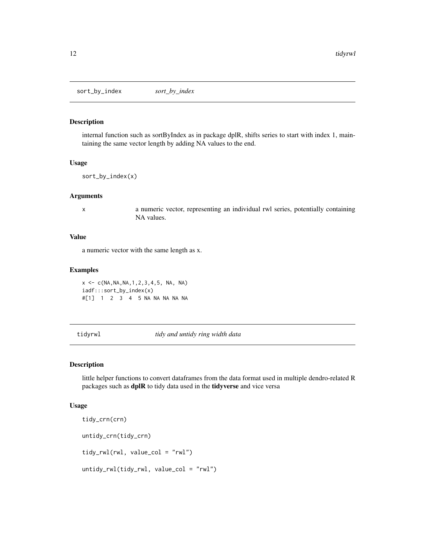<span id="page-11-0"></span>sort\_by\_index *sort\_by\_index*

## Description

internal function such as sortByIndex as in package dplR, shifts series to start with index 1, maintaining the same vector length by adding NA values to the end.

#### Usage

```
sort_by_index(x)
```
#### Arguments

x a numeric vector, representing an individual rwl series, potentially containing NA values.

## Value

a numeric vector with the same length as x.

#### Examples

 $x \leq -c(NA, NA, NA, 1, 2, 3, 4, 5, NA, NA)$ iadf:::sort\_by\_index(x) #[1] 1 2 3 4 5 NA NA NA NA NA

tidyrwl *tidy and untidy ring width data*

### <span id="page-11-1"></span>Description

little helper functions to convert dataframes from the data format used in multiple dendro-related R packages such as dplR to tidy data used in the tidyverse and vice versa

#### Usage

```
tidy_crn(crn)
untidy_crn(tidy_crn)
tidy_rwl(rwl, value_col = "rwl")
untidy_rwl(tidy_rwl, value_col = "rwl")
```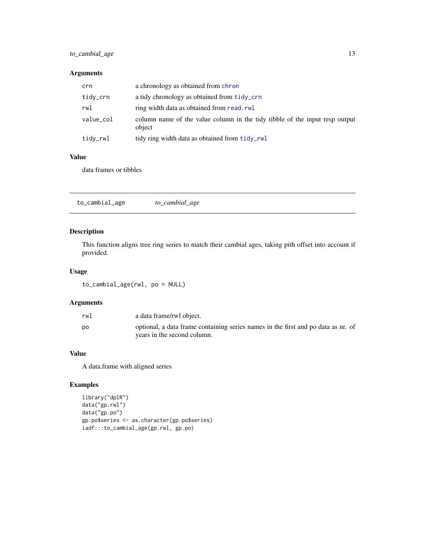## <span id="page-12-0"></span>to\_cambial\_age 13

## Arguments

| crn       | a chronology as obtained from chron                                                   |
|-----------|---------------------------------------------------------------------------------------|
| tidy_crn  | a tidy chronology as obtained from tidy_crn                                           |
| rwl       | ring width data as obtained from read.rwl                                             |
| value_col | column name of the value column in the tidy tibble of the input resp output<br>object |
| tidy_rwl  | tidy ring width data as obtained from tidy_rwl                                        |

## Value

data frames or tibbles

| to_cambial_age | to_cambial_age |  |  |
|----------------|----------------|--|--|
|----------------|----------------|--|--|

## Description

This function aligns tree ring series to match their cambial ages, taking pith offset into account if provided.

## Usage

to\_cambial\_age(rwl, po = NULL)

## Arguments

| rw1 | a data frame/rwl object.                                                                                         |
|-----|------------------------------------------------------------------------------------------------------------------|
| рo  | optional, a data frame containing series names in the first and po data as nr. of<br>years in the second column. |

#### Value

A data.frame with aligned series

```
library("dplR")
data("gp.rwl")
data("gp.po")
gp.po$series <- as.character(gp.po$series)
iadf:::to_cambial_age(gp.rwl, gp.po)
```